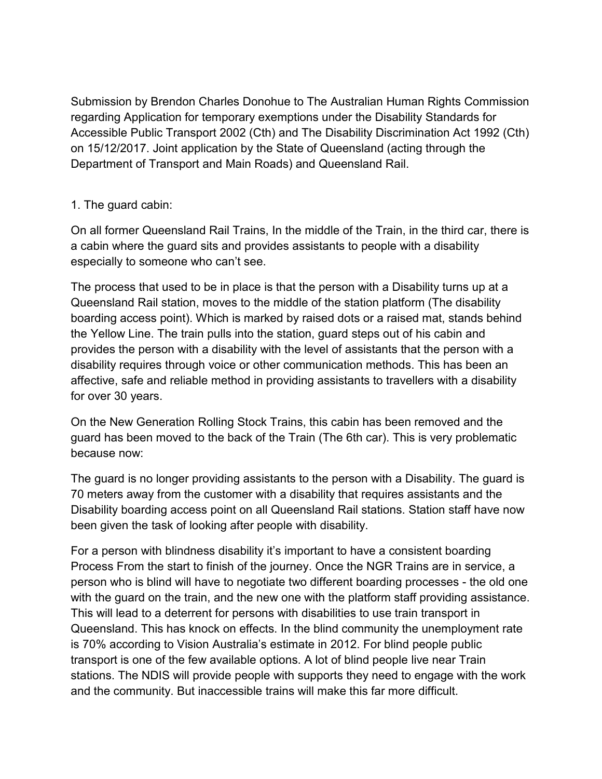Submission by Brendon Charles Donohue to The Australian Human Rights Commission regarding Application for temporary exemptions under the Disability Standards for Accessible Public Transport 2002 (Cth) and The Disability Discrimination Act 1992 (Cth) on 15/12/2017. Joint application by the State of Queensland (acting through the Department of Transport and Main Roads) and Queensland Rail.

## 1. The guard cabin:

On all former Queensland Rail Trains, In the middle of the Train, in the third car, there is a cabin where the guard sits and provides assistants to people with a disability especially to someone who can't see.

The process that used to be in place is that the person with a Disability turns up at a Queensland Rail station, moves to the middle of the station platform (The disability boarding access point). Which is marked by raised dots or a raised mat, stands behind the Yellow Line. The train pulls into the station, guard steps out of his cabin and provides the person with a disability with the level of assistants that the person with a disability requires through voice or other communication methods. This has been an affective, safe and reliable method in providing assistants to travellers with a disability for over 30 years.

On the New Generation Rolling Stock Trains, this cabin has been removed and the guard has been moved to the back of the Train (The 6th car). This is very problematic because now:

The guard is no longer providing assistants to the person with a Disability. The guard is 70 meters away from the customer with a disability that requires assistants and the Disability boarding access point on all Queensland Rail stations. Station staff have now been given the task of looking after people with disability.

For a person with blindness disability it's important to have a consistent boarding Process From the start to finish of the journey. Once the NGR Trains are in service, a person who is blind will have to negotiate two different boarding processes - the old one with the guard on the train, and the new one with the platform staff providing assistance. This will lead to a deterrent for persons with disabilities to use train transport in Queensland. This has knock on effects. In the blind community the unemployment rate is 70% according to Vision Australia's estimate in 2012. For blind people public transport is one of the few available options. A lot of blind people live near Train stations. The NDIS will provide people with supports they need to engage with the work and the community. But inaccessible trains will make this far more difficult.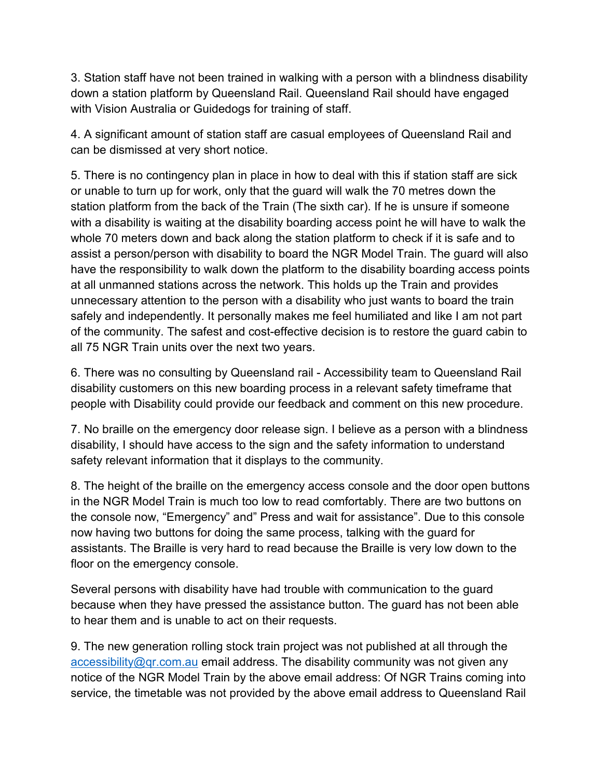3. Station staff have not been trained in walking with a person with a blindness disability down a station platform by Queensland Rail. Queensland Rail should have engaged with Vision Australia or Guidedogs for training of staff.

4. A significant amount of station staff are casual employees of Queensland Rail and can be dismissed at very short notice.

5. There is no contingency plan in place in how to deal with this if station staff are sick or unable to turn up for work, only that the guard will walk the 70 metres down the station platform from the back of the Train (The sixth car). If he is unsure if someone with a disability is waiting at the disability boarding access point he will have to walk the whole 70 meters down and back along the station platform to check if it is safe and to assist a person/person with disability to board the NGR Model Train. The guard will also have the responsibility to walk down the platform to the disability boarding access points at all unmanned stations across the network. This holds up the Train and provides unnecessary attention to the person with a disability who just wants to board the train safely and independently. It personally makes me feel humiliated and like I am not part of the community. The safest and cost-effective decision is to restore the guard cabin to all 75 NGR Train units over the next two years.

6. There was no consulting by Queensland rail - Accessibility team to Queensland Rail disability customers on this new boarding process in a relevant safety timeframe that people with Disability could provide our feedback and comment on this new procedure.

7. No braille on the emergency door release sign. I believe as a person with a blindness disability, I should have access to the sign and the safety information to understand safety relevant information that it displays to the community.

8. The height of the braille on the emergency access console and the door open buttons in the NGR Model Train is much too low to read comfortably. There are two buttons on the console now, "Emergency" and" Press and wait for assistance". Due to this console now having two buttons for doing the same process, talking with the guard for assistants. The Braille is very hard to read because the Braille is very low down to the floor on the emergency console.

Several persons with disability have had trouble with communication to the guard because when they have pressed the assistance button. The guard has not been able to hear them and is unable to act on their requests.

9. The new generation rolling stock train project was not published at all through the [accessibility@qr.com.au](mailto:accessibility@qr.com.au) email address. The disability community was not given any notice of the NGR Model Train by the above email address: Of NGR Trains coming into service, the timetable was not provided by the above email address to Queensland Rail